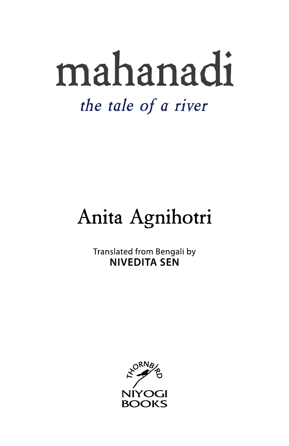# mahanadi the tale of a river

## Anita Agnihotri

Translated from Bengali by **NIVEDITA SEN** 

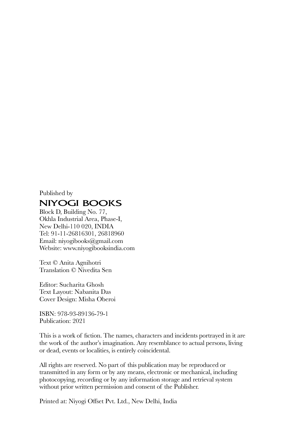#### Published by **NIYOGI BOOKS**

Block D, Building No. 77, Okhla Industrial Area, Phase-I, New Delhi-110 020, INDIA Tel: 91-11-26816301, 26818960 Email: niyogibooks@gmail.com Website: www.niyogibooksindia.com

Text © Anita Agnihotri Translation © Nivedita Sen

Editor: Sucharita Ghosh Text Layout: Nabanita Das Cover Design: Misha Oberoi

ISBN: 978-93-89136-79-1 Publication: 2021

This is a work of fiction. The names, characters and incidents portrayed in it are the work of the author's imagination. Any resemblance to actual persons, living or dead, events or localities, is entirely coincidental.

All rights are reserved. No part of this publication may be reproduced or transmitted in any form or by any means, electronic or mechanical, including photocopying, recording or by any information storage and retrieval system without prior written permission and consent of the Publisher.

Printed at: Niyogi Offset Pvt. Ltd., New Delhi, India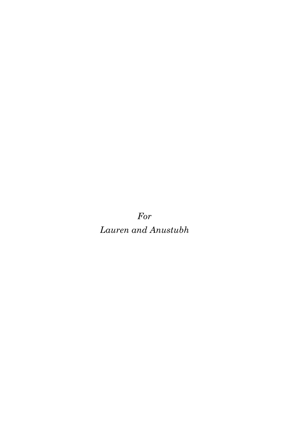For Lauren and Anustubh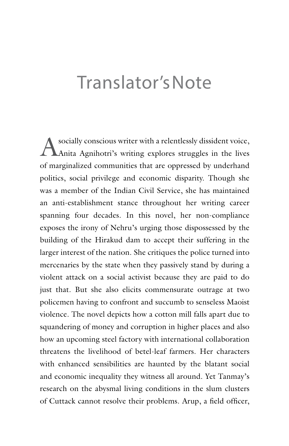## Translator's Note

Asocially conscious writer with a relentlessly dissident voice,<br>Anita Agnihotri's writing explores struggles in the lives of marginalized communities that are oppressed by underhand politics, social privilege and economic disparity. Though she was a member of the Indian Civil Service, she has maintained an anti-establishment stance throughout her writing career spanning four decades. In this novel, her non-compliance exposes the irony of Nehru's urging those dispossessed by the building of the Hirakud dam to accept their suffering in the larger interest of the nation. She critiques the police turned into mercenaries by the state when they passively stand by during a violent attack on a social activist because they are paid to do just that. But she also elicits commensurate outrage at two policemen having to confront and succumb to senseless Maoist violence. The novel depicts how a cotton mill falls apart due to squandering of money and corruption in higher places and also how an upcoming steel factory with international collaboration threatens the livelihood of betel-leaf farmers. Her characters with enhanced sensibilities are haunted by the blatant social and economic inequality they witness all around. Yet Tanmay's research on the abysmal living conditions in the slum clusters of Cuttack cannot resolve their problems. Arup, a field officer,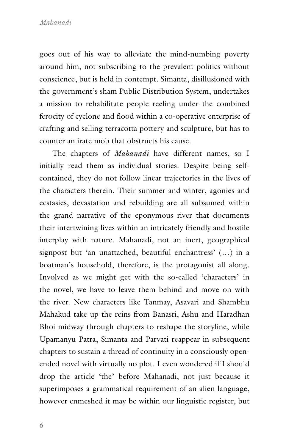goes out of his way to alleviate the mind-numbing poverty around him, not subscribing to the prevalent politics without conscience, but is held in contempt. Simanta, disillusioned with the government's sham Public Distribution System, undertakes a mission to rehabilitate people reeling under the combined ferocity of cyclone and flood within a co-operative enterprise of crafting and selling terracotta pottery and sculpture, but has to counter an irate mob that obstructs his cause.

The chapters of *Mahanadi* have different names, so I initially read them as individual stories. Despite being selfcontained, they do not follow linear trajectories in the lives of the characters therein. Their summer and winter, agonies and ecstasies, devastation and rebuilding are all subsumed within the grand narrative of the eponymous river that documents their intertwining lives within an intricately friendly and hostile interplay with nature. Mahanadi, not an inert, geographical signpost but 'an unattached, beautiful enchantress' (…) in a boatman's household, therefore, is the protagonist all along. Involved as we might get with the so-called 'characters' in the novel, we have to leave them behind and move on with the river. New characters like Tanmay, Asavari and Shambhu Mahakud take up the reins from Banasri, Ashu and Haradhan Bhoi midway through chapters to reshape the storyline, while Upamanyu Patra, Simanta and Parvati reappear in subsequent chapters to sustain a thread of continuity in a consciously openended novel with virtually no plot. I even wondered if I should drop the article 'the' before Mahanadi, not just because it superimposes a grammatical requirement of an alien language, however enmeshed it may be within our linguistic register, but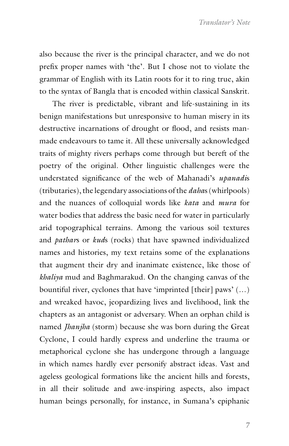also because the river is the principal character, and we do not prefix proper names with 'the'. But I chose not to violate the grammar of English with its Latin roots for it to ring true, akin to the syntax of Bangla that is encoded within classical Sanskrit.

The river is predictable, vibrant and life-sustaining in its benign manifestations but unresponsive to human misery in its destructive incarnations of drought or flood, and resists manmade endeavours to tame it. All these universally acknowledged traits of mighty rivers perhaps come through but bereft of the poetry of the original. Other linguistic challenges were the understated significance of the web of Mahanadi's *upanadi*s (tributaries), the legendary associations of the *daha*s (whirlpools) and the nuances of colloquial words like *kata* and *mura* for water bodies that address the basic need for water in particularly arid topographical terrains. Among the various soil textures and *pathar*s or *kud*s (rocks) that have spawned individualized names and histories, my text retains some of the explanations that augment their dry and inanimate existence, like those of *khaliya* mud and Baghmarakud. On the changing canvas of the bountiful river, cyclones that have 'imprinted [their] paws' (…) and wreaked havoc, jeopardizing lives and livelihood, link the chapters as an antagonist or adversary. When an orphan child is named *Jhanjha* (storm) because she was born during the Great Cyclone, I could hardly express and underline the trauma or metaphorical cyclone she has undergone through a language in which names hardly ever personify abstract ideas. Vast and ageless geological formations like the ancient hills and forests, in all their solitude and awe-inspiring aspects, also impact human beings personally, for instance, in Sumana's epiphanic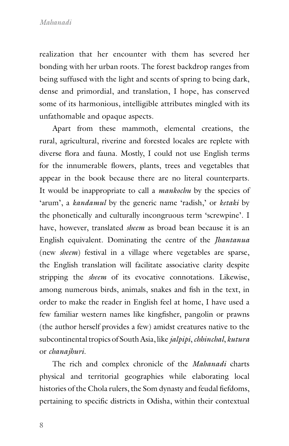realization that her encounter with them has severed her bonding with her urban roots. The forest backdrop ranges from being suffused with the light and scents of spring to being dark, dense and primordial, and translation, I hope, has conserved some of its harmonious, intelligible attributes mingled with its unfathomable and opaque aspects.

Apart from these mammoth, elemental creations, the rural, agricultural, riverine and forested locales are replete with diverse flora and fauna. Mostly, I could not use English terms for the innumerable flowers, plants, trees and vegetables that appear in the book because there are no literal counterparts. It would be inappropriate to call a *mankochu* by the species of 'arum', a *kandamul* by the generic name 'radish,' or *ketaki* by the phonetically and culturally incongruous term 'screwpine'. I have, however, translated *sheem* as broad bean because it is an English equivalent. Dominating the centre of the *Jhantanua* (new *sheem*) festival in a village where vegetables are sparse, the English translation will facilitate associative clarity despite stripping the *sheem* of its evocative connotations. Likewise, among numerous birds, animals, snakes and fish in the text, in order to make the reader in English feel at home, I have used a few familiar western names like kingfisher, pangolin or prawns (the author herself provides a few) amidst creatures native to the subcontinental tropics of South Asia, like *jalpipi*, *chhinchal*, *kutura* or *chanajhuri*.

The rich and complex chronicle of the *Mahanadi* charts physical and territorial geographies while elaborating local histories of the Chola rulers, the Som dynasty and feudal fiefdoms, pertaining to specific districts in Odisha, within their contextual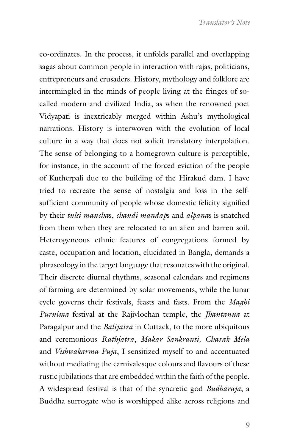co-ordinates. In the process, it unfolds parallel and overlapping sagas about common people in interaction with rajas, politicians, entrepreneurs and crusaders. History, mythology and folklore are intermingled in the minds of people living at the fringes of socalled modern and civilized India, as when the renowned poet Vidyapati is inextricably merged within Ashu's mythological narrations. History is interwoven with the evolution of local culture in a way that does not solicit translatory interpolation. The sense of belonging to a homegrown culture is perceptible, for instance, in the account of the forced eviction of the people of Kutherpali due to the building of the Hirakud dam. I have tried to recreate the sense of nostalgia and loss in the selfsufficient community of people whose domestic felicity signified by their *tulsi mancha*s, *chandi mandap*s and *alpana*s is snatched from them when they are relocated to an alien and barren soil. Heterogeneous ethnic features of congregations formed by caste, occupation and location, elucidated in Bangla, demands a phraseology in the target language that resonates with the original. Their discrete diurnal rhythms, seasonal calendars and regimens of farming are determined by solar movements, while the lunar cycle governs their festivals, feasts and fasts. From the *Maghi Purnima* festival at the Rajivlochan temple, the *Jhantanua* at Paragalpur and the *Balijatra* in Cuttack, to the more ubiquitous and ceremonious *Rathjatra*, *Makar Sankranti, Charak Mela* and *Vishwakarma Puja*, I sensitized myself to and accentuated without mediating the carnivalesque colours and flavours of these rustic jubilations that are embedded within the faith of the people. A widespread festival is that of the syncretic god *Budharaja*, a Buddha surrogate who is worshipped alike across religions and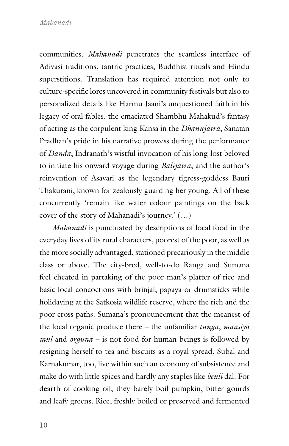communities. *Mahanadi* penetrates the seamless interface of Adivasi traditions, tantric practices, Buddhist rituals and Hindu superstitions. Translation has required attention not only to culture-specific lores uncovered in community festivals but also to personalized details like Harmu Jaani's unquestioned faith in his legacy of oral fables, the emaciated Shambhu Mahakud's fantasy of acting as the corpulent king Kansa in the *Dhanujatra*, Sanatan Pradhan's pride in his narrative prowess during the performance of *Danda*, Indranath's wistful invocation of his long-lost beloved to initiate his onward voyage during *Balijatra*, and the author's reinvention of Asavari as the legendary tigress-goddess Bauri Thakurani, known for zealously guarding her young. All of these concurrently 'remain like water colour paintings on the back cover of the story of Mahanadi's journey.' (…)

*Mahanadi* is punctuated by descriptions of local food in the everyday lives of its rural characters, poorest of the poor, as well as the more socially advantaged, stationed precariously in the middle class or above. The city-bred, well-to-do Ranga and Sumana feel cheated in partaking of the poor man's platter of rice and basic local concoctions with brinjal, papaya or drumsticks while holidaying at the Satkosia wildlife reserve, where the rich and the poor cross paths. Sumana's pronouncement that the meanest of the local organic produce there – the unfamiliar *tunga*, *maasiya mul* and *orguna* – is not food for human beings is followed by resigning herself to tea and biscuits as a royal spread. Subal and Karnakumar, too, live within such an economy of subsistence and make do with little spices and hardly any staples like *beuli* dal. For dearth of cooking oil, they barely boil pumpkin, bitter gourds and leafy greens. Rice, freshly boiled or preserved and fermented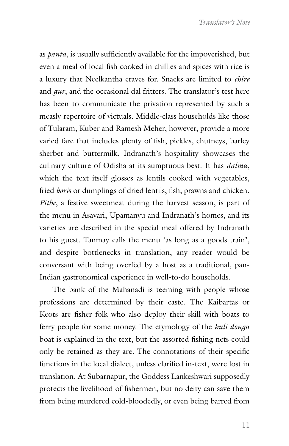as *panta*, is usually sufficiently available for the impoverished, but even a meal of local fish cooked in chillies and spices with rice is a luxury that Neelkantha craves for. Snacks are limited to *chire* and *gur*, and the occasional dal fritters. The translator's test here has been to communicate the privation represented by such a measly repertoire of victuals. Middle-class households like those of Tularam, Kuber and Ramesh Meher, however, provide a more varied fare that includes plenty of fish, pickles, chutneys, barley sherbet and buttermilk. Indranath's hospitality showcases the culinary culture of Odisha at its sumptuous best. It has *dalma*, which the text itself glosses as lentils cooked with vegetables, fried *bori*s or dumplings of dried lentils, fish, prawns and chicken. *Pithe*, a festive sweetmeat during the harvest season, is part of the menu in Asavari, Upamanyu and Indranath's homes, and its varieties are described in the special meal offered by Indranath to his guest. Tanmay calls the menu 'as long as a goods train', and despite bottlenecks in translation, any reader would be conversant with being overfed by a host as a traditional, pan-Indian gastronomical experience in well-to-do households.

The bank of the Mahanadi is teeming with people whose professions are determined by their caste. The Kaibartas or Keots are fisher folk who also deploy their skill with boats to ferry people for some money. The etymology of the *huli donga* boat is explained in the text, but the assorted fishing nets could only be retained as they are. The connotations of their specific functions in the local dialect, unless clarified in-text, were lost in translation. At Subarnapur, the Goddess Lankeshwari supposedly protects the livelihood of fishermen, but no deity can save them from being murdered cold-bloodedly, or even being barred from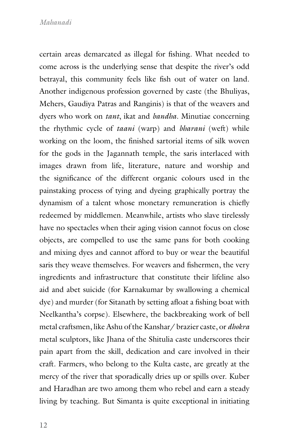certain areas demarcated as illegal for fishing. What needed to come across is the underlying sense that despite the river's odd betrayal, this community feels like fish out of water on land. Another indigenous profession governed by caste (the Bhuliyas, Mehers, Gaudiya Patras and Ranginis) is that of the weavers and dyers who work on *tant*, ikat and *bandha*. Minutiae concerning the rhythmic cycle of *taani* (warp) and *bharani* (weft) while working on the loom, the finished sartorial items of silk woven for the gods in the Jagannath temple, the saris interlaced with images drawn from life, literature, nature and worship and the significance of the different organic colours used in the painstaking process of tying and dyeing graphically portray the dynamism of a talent whose monetary remuneration is chiefly redeemed by middlemen. Meanwhile, artists who slave tirelessly have no spectacles when their aging vision cannot focus on close objects, are compelled to use the same pans for both cooking and mixing dyes and cannot afford to buy or wear the beautiful saris they weave themselves. For weavers and fishermen, the very ingredients and infrastructure that constitute their lifeline also aid and abet suicide (for Karnakumar by swallowing a chemical dye) and murder (for Sitanath by setting afloat a fishing boat with Neelkantha's corpse). Elsewhere, the backbreaking work of bell metal craftsmen, like Ashu of the Kanshar/ brazier caste, or *dhokra* metal sculptors, like Jhana of the Shitulia caste underscores their pain apart from the skill, dedication and care involved in their craft. Farmers, who belong to the Kulta caste, are greatly at the mercy of the river that sporadically dries up or spills over. Kuber and Haradhan are two among them who rebel and earn a steady living by teaching. But Simanta is quite exceptional in initiating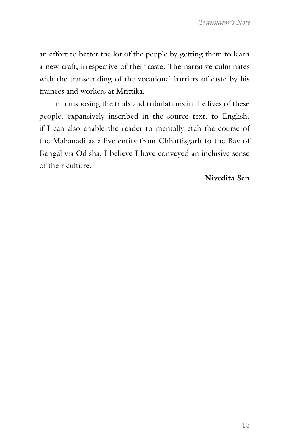an effort to better the lot of the people by getting them to learn a new craft, irrespective of their caste. The narrative culminates with the transcending of the vocational barriers of caste by his trainees and workers at Mrittika.

In transposing the trials and tribulations in the lives of these people, expansively inscribed in the source text, to English, if I can also enable the reader to mentally etch the course of the Mahanadi as a live entity from Chhattisgarh to the Bay of Bengal via Odisha, I believe I have conveyed an inclusive sense of their culture.

#### **Nivedita Sen**